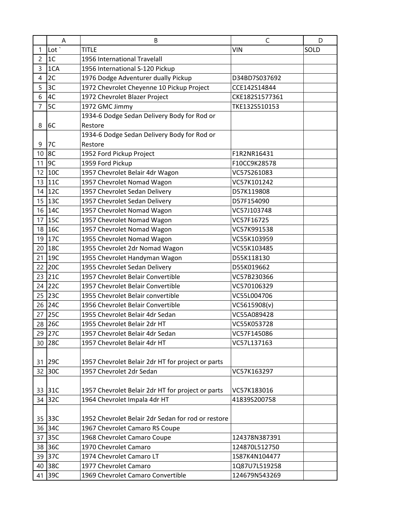|                | A                | B                                                  | C              | D    |
|----------------|------------------|----------------------------------------------------|----------------|------|
| 1              | Lot <sup>'</sup> | <b>TITLE</b>                                       | <b>VIN</b>     | SOLD |
| $\overline{c}$ | 1 <sub>C</sub>   | 1956 International Travelall                       |                |      |
| 3              | 1CA              | 1956 International S-120 Pickup                    |                |      |
| 4              | 2C               | 1976 Dodge Adventurer dually Pickup                | D34BD7S037692  |      |
| 5              | 3C               | 1972 Chevrolet Cheyenne 10 Pickup Project          | CCE142S14844   |      |
| 6              | 4C               | 1972 Chevrolet Blazer Project                      | CKE182S1577361 |      |
| $\overline{7}$ | 5C               | 1972 GMC Jimmy                                     | TKE132S510153  |      |
|                |                  | 1934-6 Dodge Sedan Delivery Body for Rod or        |                |      |
| 8              | 6C               | Restore                                            |                |      |
|                |                  | 1934-6 Dodge Sedan Delivery Body for Rod or        |                |      |
| 9              | 7C               | Restore                                            |                |      |
| 10             | 8C               | 1952 Ford Pickup Project                           | F1R2NR16431    |      |
| 11             | 9C               | 1959 Ford Pickup                                   | F10CC9K28578   |      |
| 12             | 10C              | 1957 Chevrolet Belair 4dr Wagon                    | VC57S261083    |      |
|                | 13 11C           | 1957 Chevrolet Nomad Wagon                         | VC57K101242    |      |
|                | 14 12C           | 1957 Chevrolet Sedan Delivery                      | D57K119808     |      |
|                | 15 13C           | 1957 Chevrolet Sedan Delivery                      | D57F154090     |      |
| 16             | 14C              | 1957 Chevrolet Nomad Wagon                         | VC57J103748    |      |
| 17             | 15C              | 1957 Chevrolet Nomad Wagon                         | VC57F16725     |      |
|                | 18 16C           | 1957 Chevrolet Nomad Wagon                         | VC57K991538    |      |
|                | 19 17C           | 1955 Chevrolet Nomad Wagon                         | VC55K103959    |      |
| 20             | 18C              | 1955 Chevrolet 2dr Nomad Wagon                     | VC55K103485    |      |
| 21             | 19C              | 1955 Chevrolet Handyman Wagon                      | D55K118130     |      |
| 22             | 20C              | 1955 Chevrolet Sedan Delivery                      | D55K019662     |      |
| 23             | 21C              | 1957 Chevrolet Belair Convertible                  | VC57B230366    |      |
| 24             | <b>22C</b>       | 1957 Chevrolet Belair Convertible                  | VC570106329    |      |
| 25             | 23C              | 1955 Chevrolet Belair convertible                  | VC55L004706    |      |
| 26             | 24C              | 1956 Chevrolet Belair Convertible                  | VC5615908(v)   |      |
| 27             | <b>25C</b>       | 1955 Chevrolet Belair 4dr Sedan                    | VC55A089428    |      |
|                | 28 26C           | 1955 Chevrolet Belair 2dr HT                       | VC55K053728    |      |
| 29             | 27C              | 1957 Chevrolet Belair 4dr Sedan                    | VC57F145086    |      |
| 30             | <b>28C</b>       | 1957 Chevrolet Belair 4dr HT                       | VC57L137163    |      |
|                |                  |                                                    |                |      |
| 31             | 29C              | 1957 Chevrolet Belair 2dr HT for project or parts  |                |      |
| 32             | 30C              | 1957 Chevrolet 2dr Sedan                           | VC57K163297    |      |
|                |                  |                                                    |                |      |
|                | 33 31C           | 1957 Chevrolet Belair 2dr HT for project or parts  | VC57K183016    |      |
|                | 34 32C           | 1964 Chevrolet Impala 4dr HT                       | 41839S200758   |      |
|                | 35 33C           | 1952 Chevrolet Belair 2dr Sedan for rod or restore |                |      |
|                | 36 34C           | 1967 Chevrolet Camaro RS Coupe                     |                |      |
| 37             | 35C              | 1968 Chevrolet Camaro Coupe                        | 124378N387391  |      |
| 38             | 36C              | 1970 Chevrolet Camaro                              | 124870L512750  |      |
| 39             | 37C              | 1974 Chevrolet Camaro LT                           | 1S87K4N104477  |      |
|                | 40 38C           | 1977 Chevrolet Camaro                              | 1Q87U7L519258  |      |
|                | 41 39C           | 1969 Chevrolet Camaro Convertible                  | 124679N543269  |      |
|                |                  |                                                    |                |      |